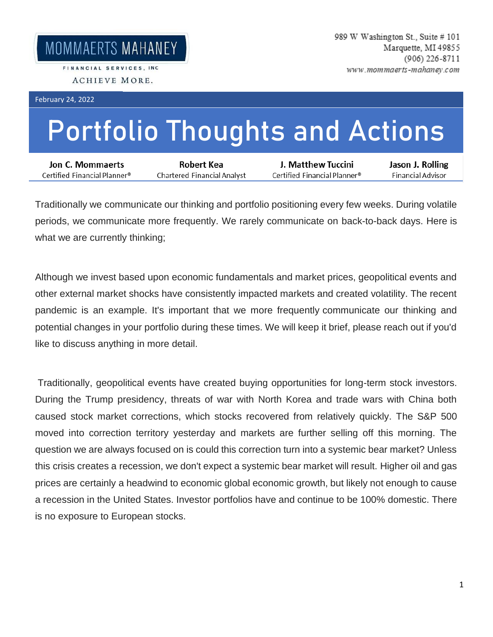FINANCIAL SERVICES, INC. ACHIEVE MORE.

February 24, 2022

## **Portfolio Thoughts and Actions**

| Jon C. Mommaerts             | Robert Kea                  | J. Matthew Tuccini                              | Jason J. Rolling  |
|------------------------------|-----------------------------|-------------------------------------------------|-------------------|
| Certified Financial Planner® | Chartered Financial Analyst | $\epsilon$ Certified Financial Planner $^\circ$ | Financial Advisor |

Traditionally we communicate our thinking and portfolio positioning every few weeks. During volatile periods, we communicate more frequently. We rarely communicate on back-to-back days. Here is what we are currently thinking;

Although we invest based upon economic fundamentals and market prices, geopolitical events and other external market shocks have consistently impacted markets and created volatility. The recent pandemic is an example. It's important that we more frequently communicate our thinking and potential changes in your portfolio during these times. We will keep it brief, please reach out if you'd like to discuss anything in more detail.

Traditionally, geopolitical events have created buying opportunities for long-term stock investors. During the Trump presidency, threats of war with North Korea and trade wars with China both caused stock market corrections, which stocks recovered from relatively quickly. The S&P 500 moved into correction territory yesterday and markets are further selling off this morning. The question we are always focused on is could this correction turn into a systemic bear market? Unless this crisis creates a recession, we don't expect a systemic bear market will result. Higher oil and gas prices are certainly a headwind to economic global economic growth, but likely not enough to cause a recession in the United States. Investor portfolios have and continue to be 100% domestic. There is no exposure to European stocks.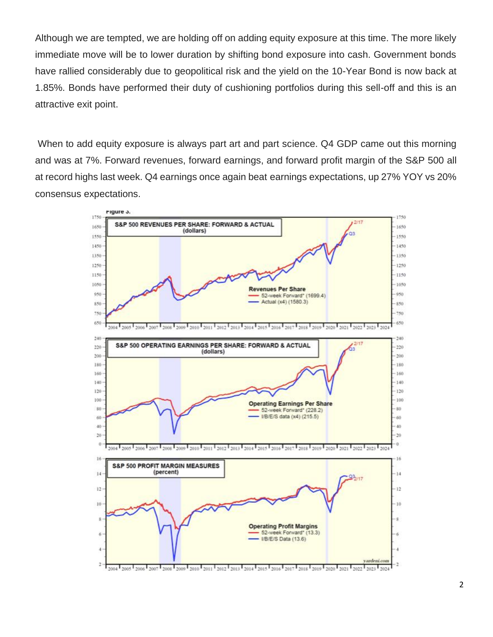Although we are tempted, we are holding off on adding equity exposure at this time. The more likely immediate move will be to lower duration by shifting bond exposure into cash. Government bonds have rallied considerably due to geopolitical risk and the yield on the 10-Year Bond is now back at 1.85%. Bonds have performed their duty of cushioning portfolios during this sell-off and this is an attractive exit point.

When to add equity exposure is always part art and part science. Q4 GDP came out this morning and was at 7%. Forward revenues, forward earnings, and forward profit margin of the S&P 500 all at record highs last week. Q4 earnings once again beat earnings expectations, up 27% YOY vs 20% consensus expectations.

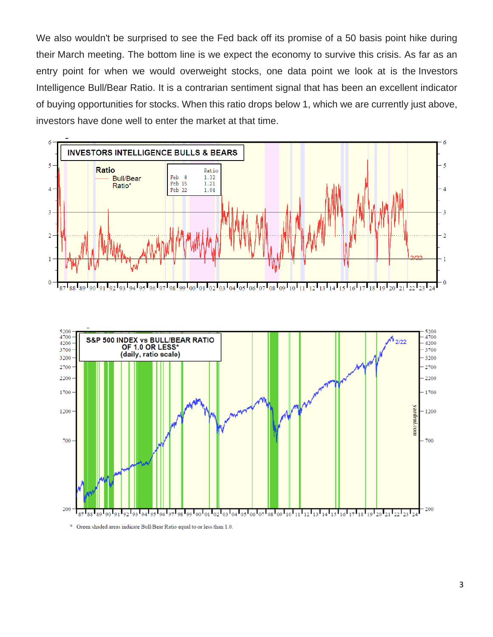We also wouldn't be surprised to see the Fed back off its promise of a 50 basis point hike during their March meeting. The bottom line is we expect the economy to survive this crisis. As far as an entry point for when we would overweight stocks, one data point we look at is the Investors Intelligence Bull/Bear Ratio. It is a contrarian sentiment signal that has been an excellent indicator of buying opportunities for stocks. When this ratio drops below 1, which we are currently just above, investors have done well to enter the market at that time.